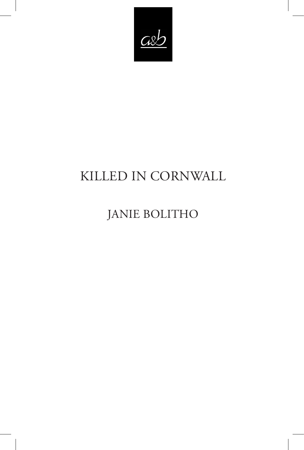

## Killed in Cornwall

## Janie Bolitho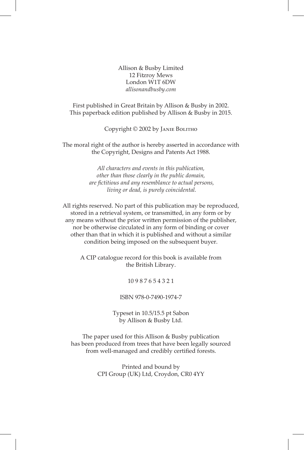Allison & Busby Limited 12 Fitzroy Mews London W1T 6DW *allisonandbusby.com*

First published in Great Britain by Allison & Busby in 2002. This paperback edition published by Allison & Busby in 2015.

Copyright © 2002 by Janie Bolitho

The moral right of the author is hereby asserted in accordance with the Copyright, Designs and Patents Act 1988.

> *All characters and events in this publication, other than those clearly in the public domain, are fictitious and any resemblance to actual persons, living or dead, is purely coincidental.*

All rights reserved. No part of this publication may be reproduced, stored in a retrieval system, or transmitted, in any form or by any means without the prior written permission of the publisher, nor be otherwise circulated in any form of binding or cover other than that in which it is published and without a similar condition being imposed on the subsequent buyer.

A CIP catalogue record for this book is available from the British Library.

10 9 8 7 6 5 4 3 2 1

## ISBN 978-0-7490-1974-7

Typeset in 10.5/15.5 pt Sabon by Allison & Busby Ltd.

The paper used for this Allison & Busby publication has been produced from trees that have been legally sourced from well-managed and credibly certified forests.

> Printed and bound by CPI Group (UK) Ltd, Croydon, CR0 4YY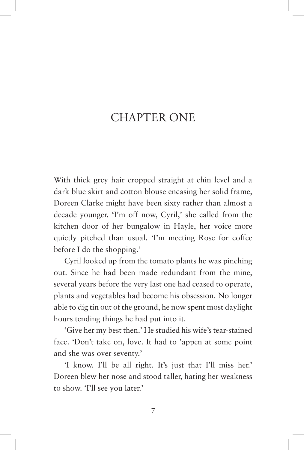## CHAPTER ONE

With thick grey hair cropped straight at chin level and a dark blue skirt and cotton blouse encasing her solid frame, Doreen Clarke might have been sixty rather than almost a decade younger. 'I'm off now, Cyril,' she called from the kitchen door of her bungalow in Hayle, her voice more quietly pitched than usual. 'I'm meeting Rose for coffee before I do the shopping.'

Cyril looked up from the tomato plants he was pinching out. Since he had been made redundant from the mine, several years before the very last one had ceased to operate, plants and vegetables had become his obsession. No longer able to dig tin out of the ground, he now spent most daylight hours tending things he had put into it.

'Give her my best then.' He studied his wife's tear-stained face. 'Don't take on, love. It had to 'appen at some point and she was over seventy.'

'I know. I'll be all right. It's just that I'll miss her.' Doreen blew her nose and stood taller, hating her weakness to show. 'I'll see you later.'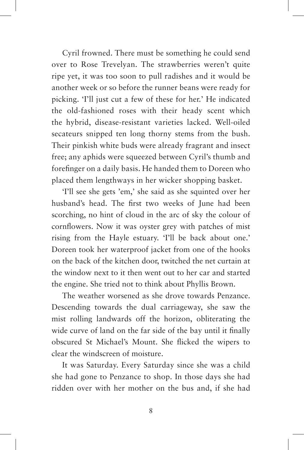Cyril frowned. There must be something he could send over to Rose Trevelyan. The strawberries weren't quite ripe yet, it was too soon to pull radishes and it would be another week or so before the runner beans were ready for picking. 'I'll just cut a few of these for her.' He indicated the old-fashioned roses with their heady scent which the hybrid, disease-resistant varieties lacked. Well-oiled secateurs snipped ten long thorny stems from the bush. Their pinkish white buds were already fragrant and insect free; any aphids were squeezed between Cyril's thumb and forefinger on a daily basis. He handed them to Doreen who placed them lengthways in her wicker shopping basket.

'I'll see she gets 'em,' she said as she squinted over her husband's head. The first two weeks of June had been scorching, no hint of cloud in the arc of sky the colour of cornflowers. Now it was oyster grey with patches of mist rising from the Hayle estuary. T'll be back about one.' Doreen took her waterproof jacket from one of the hooks on the back of the kitchen door, twitched the net curtain at the window next to it then went out to her car and started the engine. She tried not to think about Phyllis Brown.

The weather worsened as she drove towards Penzance. Descending towards the dual carriageway, she saw the mist rolling landwards off the horizon, obliterating the wide curve of land on the far side of the bay until it finally obscured St Michael's Mount. She flicked the wipers to clear the windscreen of moisture.

It was Saturday. Every Saturday since she was a child she had gone to Penzance to shop. In those days she had ridden over with her mother on the bus and, if she had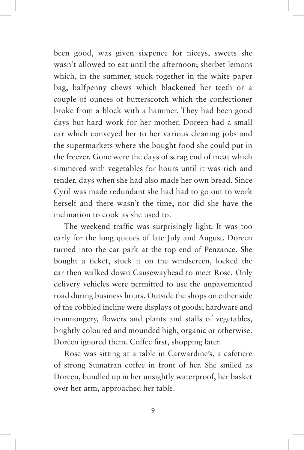been good, was given sixpence for niceys, sweets she wasn't allowed to eat until the afternoon; sherbet lemons which, in the summer, stuck together in the white paper bag, halfpenny chews which blackened her teeth or a couple of ounces of butterscotch which the confectioner broke from a block with a hammer. They had been good days but hard work for her mother. Doreen had a small car which conveyed her to her various cleaning jobs and the supermarkets where she bought food she could put in the freezer. Gone were the days of scrag end of meat which simmered with vegetables for hours until it was rich and tender, days when she had also made her own bread. Since Cyril was made redundant she had had to go out to work herself and there wasn't the time, nor did she have the inclination to cook as she used to.

The weekend traffic was surprisingly light. It was too early for the long queues of late July and August. Doreen turned into the car park at the top end of Penzance. She bought a ticket, stuck it on the windscreen, locked the car then walked down Causewayhead to meet Rose. Only delivery vehicles were permitted to use the unpavemented road during business hours. Outside the shops on either side of the cobbled incline were displays of goods; hardware and ironmongery, flowers and plants and stalls of vegetables, brightly coloured and mounded high, organic or otherwise. Doreen ignored them. Coffee first, shopping later.

Rose was sitting at a table in Carwardine's, a cafetiere of strong Sumatran coffee in front of her. She smiled as Doreen, bundled up in her unsightly waterproof, her basket over her arm, approached her table.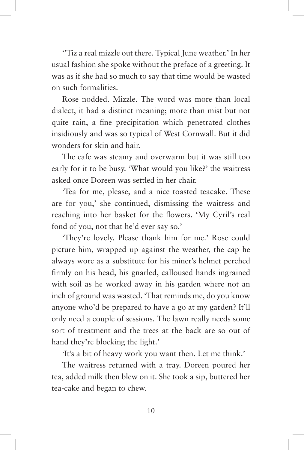''Tiz a real mizzle out there. Typical June weather.' In her usual fashion she spoke without the preface of a greeting. It was as if she had so much to say that time would be wasted on such formalities.

Rose nodded. Mizzle. The word was more than local dialect, it had a distinct meaning; more than mist but not quite rain, a fine precipitation which penetrated clothes insidiously and was so typical of West Cornwall. But it did wonders for skin and hair.

The cafe was steamy and overwarm but it was still too early for it to be busy. 'What would you like?' the waitress asked once Doreen was settled in her chair.

'Tea for me, please, and a nice toasted teacake. These are for you,' she continued, dismissing the waitress and reaching into her basket for the flowers. 'My Cyril's real fond of you, not that he'd ever say so.'

'They're lovely. Please thank him for me.' Rose could picture him, wrapped up against the weather, the cap he always wore as a substitute for his miner's helmet perched firmly on his head, his gnarled, calloused hands ingrained with soil as he worked away in his garden where not an inch of ground was wasted. 'That reminds me, do you know anyone who'd be prepared to have a go at my garden? It'll only need a couple of sessions. The lawn really needs some sort of treatment and the trees at the back are so out of hand they're blocking the light.'

'It's a bit of heavy work you want then. Let me think.'

The waitress returned with a tray. Doreen poured her tea, added milk then blew on it. She took a sip, buttered her tea-cake and began to chew.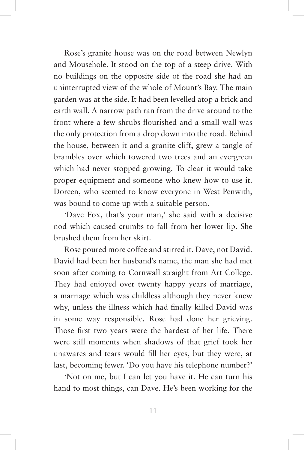Rose's granite house was on the road between Newlyn and Mousehole. It stood on the top of a steep drive. With no buildings on the opposite side of the road she had an uninterrupted view of the whole of Mount's Bay. The main garden was at the side. It had been levelled atop a brick and earth wall. A narrow path ran from the drive around to the front where a few shrubs flourished and a small wall was the only protection from a drop down into the road. Behind the house, between it and a granite cliff, grew a tangle of brambles over which towered two trees and an evergreen which had never stopped growing. To clear it would take proper equipment and someone who knew how to use it. Doreen, who seemed to know everyone in West Penwith, was bound to come up with a suitable person.

'Dave Fox, that's your man,' she said with a decisive nod which caused crumbs to fall from her lower lip. She brushed them from her skirt.

Rose poured more coffee and stirred it. Dave, not David. David had been her husband's name, the man she had met soon after coming to Cornwall straight from Art College. They had enjoyed over twenty happy years of marriage, a marriage which was childless although they never knew why, unless the illness which had finally killed David was in some way responsible. Rose had done her grieving. Those first two years were the hardest of her life. There were still moments when shadows of that grief took her unawares and tears would fill her eyes, but they were, at last, becoming fewer. 'Do you have his telephone number?'

'Not on me, but I can let you have it. He can turn his hand to most things, can Dave. He's been working for the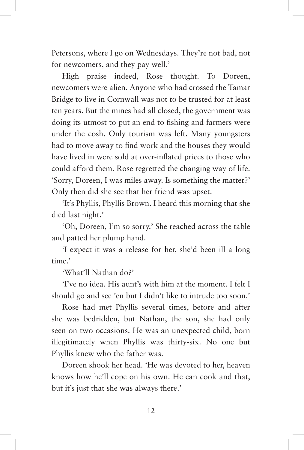Petersons, where I go on Wednesdays. They're not bad, not for newcomers, and they pay well.'

High praise indeed, Rose thought. To Doreen, newcomers were alien. Anyone who had crossed the Tamar Bridge to live in Cornwall was not to be trusted for at least ten years. But the mines had all closed, the government was doing its utmost to put an end to fishing and farmers were under the cosh. Only tourism was left. Many youngsters had to move away to find work and the houses they would have lived in were sold at over-inflated prices to those who could afford them. Rose regretted the changing way of life. 'Sorry, Doreen, I was miles away. Is something the matter?' Only then did she see that her friend was upset.

'It's Phyllis, Phyllis Brown. I heard this morning that she died last night.'

'Oh, Doreen, I'm so sorry.' She reached across the table and patted her plump hand.

'I expect it was a release for her, she'd been ill a long time.'

'What'll Nathan do?'

'I've no idea. His aunt's with him at the moment. I felt I should go and see 'en but I didn't like to intrude too soon.'

Rose had met Phyllis several times, before and after she was bedridden, but Nathan, the son, she had only seen on two occasions. He was an unexpected child, born illegitimately when Phyllis was thirty-six. No one but Phyllis knew who the father was.

Doreen shook her head. 'He was devoted to her, heaven knows how he'll cope on his own. He can cook and that, but it's just that she was always there.'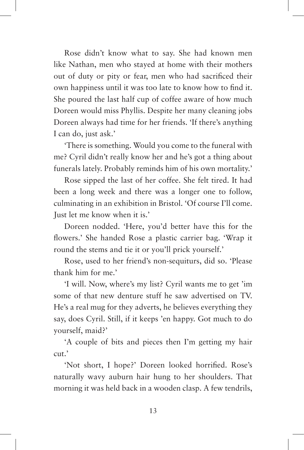Rose didn't know what to say. She had known men like Nathan, men who stayed at home with their mothers out of duty or pity or fear, men who had sacrificed their own happiness until it was too late to know how to find it. She poured the last half cup of coffee aware of how much Doreen would miss Phyllis. Despite her many cleaning jobs Doreen always had time for her friends. 'If there's anything I can do, just ask.'

'There is something. Would you come to the funeral with me? Cyril didn't really know her and he's got a thing about funerals lately. Probably reminds him of his own mortality.'

Rose sipped the last of her coffee. She felt tired. It had been a long week and there was a longer one to follow, culminating in an exhibition in Bristol. 'Of course I'll come. Just let me know when it is.'

Doreen nodded. 'Here, you'd better have this for the flowers.' She handed Rose a plastic carrier bag. 'Wrap it round the stems and tie it or you'll prick yourself.'

Rose, used to her friend's non-sequiturs, did so. 'Please thank him for me.'

'I will. Now, where's my list? Cyril wants me to get 'im some of that new denture stuff he saw advertised on TV. He's a real mug for they adverts, he believes everything they say, does Cyril. Still, if it keeps 'en happy. Got much to do yourself, maid?'

'A couple of bits and pieces then I'm getting my hair cut.'

'Not short, I hope?' Doreen looked horrified. Rose's naturally wavy auburn hair hung to her shoulders. That morning it was held back in a wooden clasp. A few tendrils,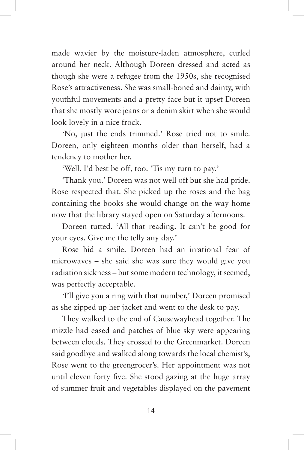made wavier by the moisture-laden atmosphere, curled around her neck. Although Doreen dressed and acted as though she were a refugee from the 1950s, she recognised Rose's attractiveness. She was small-boned and dainty, with youthful movements and a pretty face but it upset Doreen that she mostly wore jeans or a denim skirt when she would look lovely in a nice frock.

'No, just the ends trimmed.' Rose tried not to smile. Doreen, only eighteen months older than herself, had a tendency to mother her.

'Well, I'd best be off, too. 'Tis my turn to pay.'

'Thank you.' Doreen was not well off but she had pride. Rose respected that. She picked up the roses and the bag containing the books she would change on the way home now that the library stayed open on Saturday afternoons.

Doreen tutted. 'All that reading. It can't be good for your eyes. Give me the telly any day.'

Rose hid a smile. Doreen had an irrational fear of microwaves – she said she was sure they would give you radiation sickness – but some modern technology, it seemed, was perfectly acceptable.

'I'll give you a ring with that number,' Doreen promised as she zipped up her jacket and went to the desk to pay.

They walked to the end of Causewayhead together. The mizzle had eased and patches of blue sky were appearing between clouds. They crossed to the Greenmarket. Doreen said goodbye and walked along towards the local chemist's, Rose went to the greengrocer's. Her appointment was not until eleven forty five. She stood gazing at the huge array of summer fruit and vegetables displayed on the pavement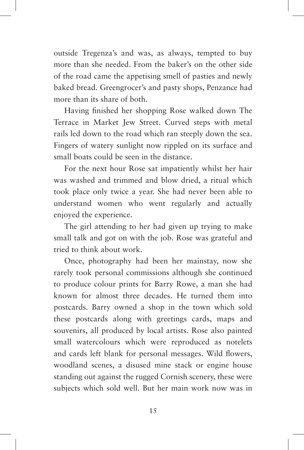outside Tregenza's and was, as always, tempted to buy more than she needed. From the baker's on the other side of the road came the appetising smell of pasties and newly baked bread. Greengrocer's and pasty shops, Penzance had more than its share of both.

Having finished her shopping Rose walked down The Terrace in Market Jew Street. Curved steps with metal rails led down to the road which ran steeply down the sea. Fingers of watery sunlight now rippled on its surface and small boats could be seen in the distance.

For the next hour Rose sat impatiently whilst her hair was washed and trimmed and blow dried, a ritual which took place only twice a year. She had never been able to understand women who went regularly and actually enjoyed the experience.

The girl attending to her had given up trying to make small talk and got on with the job. Rose was grateful and tried to think about work.

Once, photography had been her mainstay, now she rarely took personal commissions although she continued to produce colour prints for Barry Rowe, a man she had known for almost three decades. He turned them into postcards. Barry owned a shop in the town which sold these postcards along with greetings cards, maps and souvenirs, all produced by local artists. Rose also painted small watercolours which were reproduced as notelets and cards left blank for personal messages. Wild flowers, woodland scenes, a disused mine stack or engine house standing out against the rugged Cornish scenery, these were subjects which sold well. But her main work now was in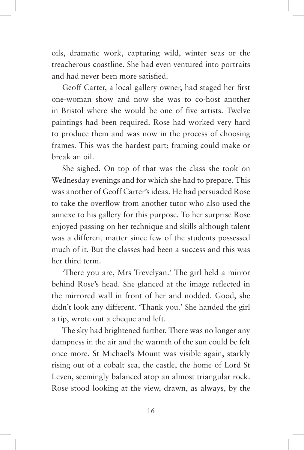oils, dramatic work, capturing wild, winter seas or the treacherous coastline. She had even ventured into portraits and had never been more satisfied.

Geoff Carter, a local gallery owner, had staged her first one-woman show and now she was to co-host another in Bristol where she would be one of five artists. Twelve paintings had been required. Rose had worked very hard to produce them and was now in the process of choosing frames. This was the hardest part; framing could make or break an oil.

She sighed. On top of that was the class she took on Wednesday evenings and for which she had to prepare. This was another of Geoff Carter's ideas. He had persuaded Rose to take the overflow from another tutor who also used the annexe to his gallery for this purpose. To her surprise Rose enjoyed passing on her technique and skills although talent was a different matter since few of the students possessed much of it. But the classes had been a success and this was her third term.

'There you are, Mrs Trevelyan.' The girl held a mirror behind Rose's head. She glanced at the image reflected in the mirrored wall in front of her and nodded. Good, she didn't look any different. 'Thank you.' She handed the girl a tip, wrote out a cheque and left.

The sky had brightened further. There was no longer any dampness in the air and the warmth of the sun could be felt once more. St Michael's Mount was visible again, starkly rising out of a cobalt sea, the castle, the home of Lord St Leven, seemingly balanced atop an almost triangular rock. Rose stood looking at the view, drawn, as always, by the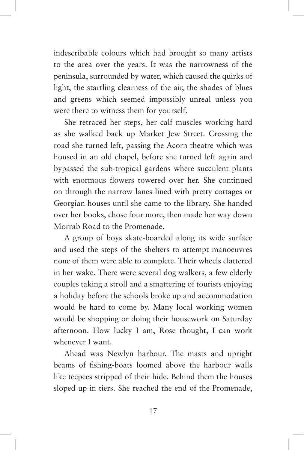indescribable colours which had brought so many artists to the area over the years. It was the narrowness of the peninsula, surrounded by water, which caused the quirks of light, the startling clearness of the air, the shades of blues and greens which seemed impossibly unreal unless you were there to witness them for yourself.

She retraced her steps, her calf muscles working hard as she walked back up Market Jew Street. Crossing the road she turned left, passing the Acorn theatre which was housed in an old chapel, before she turned left again and bypassed the sub-tropical gardens where succulent plants with enormous flowers towered over her. She continued on through the narrow lanes lined with pretty cottages or Georgian houses until she came to the library. She handed over her books, chose four more, then made her way down Morrab Road to the Promenade.

A group of boys skate-boarded along its wide surface and used the steps of the shelters to attempt manoeuvres none of them were able to complete. Their wheels clattered in her wake. There were several dog walkers, a few elderly couples taking a stroll and a smattering of tourists enjoying a holiday before the schools broke up and accommodation would be hard to come by. Many local working women would be shopping or doing their housework on Saturday afternoon. How lucky I am, Rose thought, I can work whenever I want.

Ahead was Newlyn harbour. The masts and upright beams of fishing-boats loomed above the harbour walls like teepees stripped of their hide. Behind them the houses sloped up in tiers. She reached the end of the Promenade,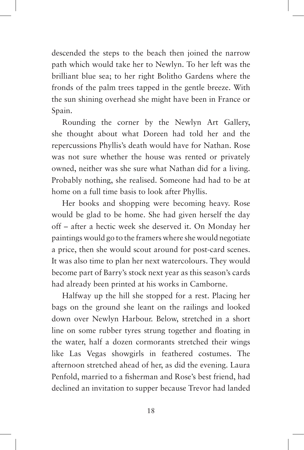descended the steps to the beach then joined the narrow path which would take her to Newlyn. To her left was the brilliant blue sea; to her right Bolitho Gardens where the fronds of the palm trees tapped in the gentle breeze. With the sun shining overhead she might have been in France or Spain.

Rounding the corner by the Newlyn Art Gallery, she thought about what Doreen had told her and the repercussions Phyllis's death would have for Nathan. Rose was not sure whether the house was rented or privately owned, neither was she sure what Nathan did for a living. Probably nothing, she realised. Someone had had to be at home on a full time basis to look after Phyllis.

Her books and shopping were becoming heavy. Rose would be glad to be home. She had given herself the day off – after a hectic week she deserved it. On Monday her paintings would go to the framers where she would negotiate a price, then she would scout around for post-card scenes. It was also time to plan her next watercolours. They would become part of Barry's stock next year as this season's cards had already been printed at his works in Camborne.

Halfway up the hill she stopped for a rest. Placing her bags on the ground she leant on the railings and looked down over Newlyn Harbour. Below, stretched in a short line on some rubber tyres strung together and floating in the water, half a dozen cormorants stretched their wings like Las Vegas showgirls in feathered costumes. The afternoon stretched ahead of her, as did the evening. Laura Penfold, married to a fisherman and Rose's best friend, had declined an invitation to supper because Trevor had landed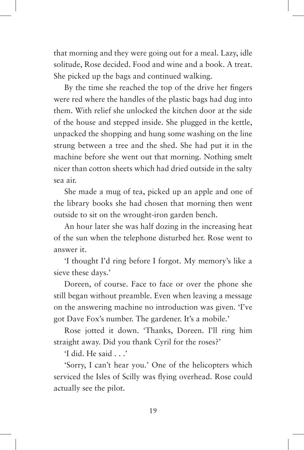that morning and they were going out for a meal. Lazy, idle solitude, Rose decided. Food and wine and a book. A treat. She picked up the bags and continued walking.

By the time she reached the top of the drive her fingers were red where the handles of the plastic bags had dug into them. With relief she unlocked the kitchen door at the side of the house and stepped inside. She plugged in the kettle, unpacked the shopping and hung some washing on the line strung between a tree and the shed. She had put it in the machine before she went out that morning. Nothing smelt nicer than cotton sheets which had dried outside in the salty sea air.

She made a mug of tea, picked up an apple and one of the library books she had chosen that morning then went outside to sit on the wrought-iron garden bench.

An hour later she was half dozing in the increasing heat of the sun when the telephone disturbed her. Rose went to answer it.

'I thought I'd ring before I forgot. My memory's like a sieve these days.'

Doreen, of course. Face to face or over the phone she still began without preamble. Even when leaving a message on the answering machine no introduction was given. 'I've got Dave Fox's number. The gardener. It's a mobile.'

Rose jotted it down. 'Thanks, Doreen. I'll ring him straight away. Did you thank Cyril for the roses?'

'I did. He said . . .'

'Sorry, I can't hear you.' One of the helicopters which serviced the Isles of Scilly was flying overhead. Rose could actually see the pilot.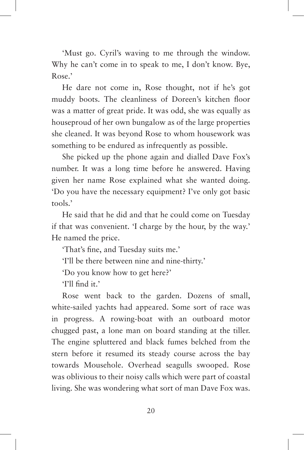'Must go. Cyril's waving to me through the window. Why he can't come in to speak to me, I don't know. Bye, Rose.'

He dare not come in, Rose thought, not if he's got muddy boots. The cleanliness of Doreen's kitchen floor was a matter of great pride. It was odd, she was equally as houseproud of her own bungalow as of the large properties she cleaned. It was beyond Rose to whom housework was something to be endured as infrequently as possible.

She picked up the phone again and dialled Dave Fox's number. It was a long time before he answered. Having given her name Rose explained what she wanted doing. 'Do you have the necessary equipment? I've only got basic tools.'

He said that he did and that he could come on Tuesday if that was convenient. 'I charge by the hour, by the way.' He named the price.

'That's fine, and Tuesday suits me.'

'I'll be there between nine and nine-thirty.'

'Do you know how to get here?'

'I'll find it.'

Rose went back to the garden. Dozens of small, white-sailed yachts had appeared. Some sort of race was in progress. A rowing-boat with an outboard motor chugged past, a lone man on board standing at the tiller. The engine spluttered and black fumes belched from the stern before it resumed its steady course across the bay towards Mousehole. Overhead seagulls swooped. Rose was oblivious to their noisy calls which were part of coastal living. She was wondering what sort of man Dave Fox was.